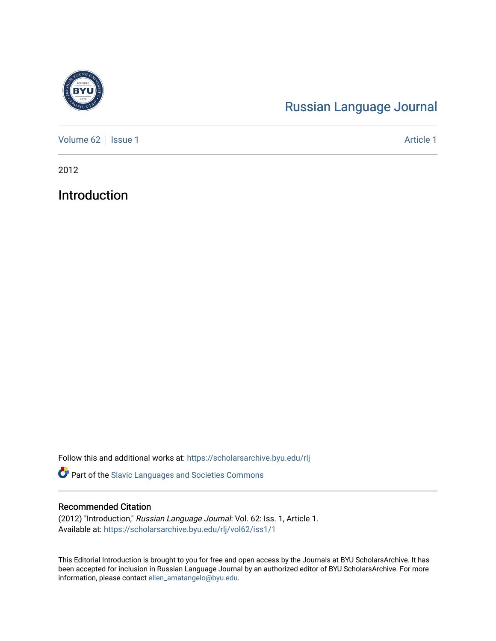

# [Russian Language Journal](https://scholarsarchive.byu.edu/rlj)

[Volume 62](https://scholarsarchive.byu.edu/rlj/vol62) | [Issue 1](https://scholarsarchive.byu.edu/rlj/vol62/iss1) Article 1

2012

Introduction

Follow this and additional works at: [https://scholarsarchive.byu.edu/rlj](https://scholarsarchive.byu.edu/rlj?utm_source=scholarsarchive.byu.edu%2Frlj%2Fvol62%2Fiss1%2F1&utm_medium=PDF&utm_campaign=PDFCoverPages)

Part of the [Slavic Languages and Societies Commons](http://network.bepress.com/hgg/discipline/486?utm_source=scholarsarchive.byu.edu%2Frlj%2Fvol62%2Fiss1%2F1&utm_medium=PDF&utm_campaign=PDFCoverPages) 

#### Recommended Citation

(2012) "Introduction," Russian Language Journal: Vol. 62: Iss. 1, Article 1. Available at: [https://scholarsarchive.byu.edu/rlj/vol62/iss1/1](https://scholarsarchive.byu.edu/rlj/vol62/iss1/1?utm_source=scholarsarchive.byu.edu%2Frlj%2Fvol62%2Fiss1%2F1&utm_medium=PDF&utm_campaign=PDFCoverPages) 

This Editorial Introduction is brought to you for free and open access by the Journals at BYU ScholarsArchive. It has been accepted for inclusion in Russian Language Journal by an authorized editor of BYU ScholarsArchive. For more information, please contact [ellen\\_amatangelo@byu.edu.](mailto:ellen_amatangelo@byu.edu)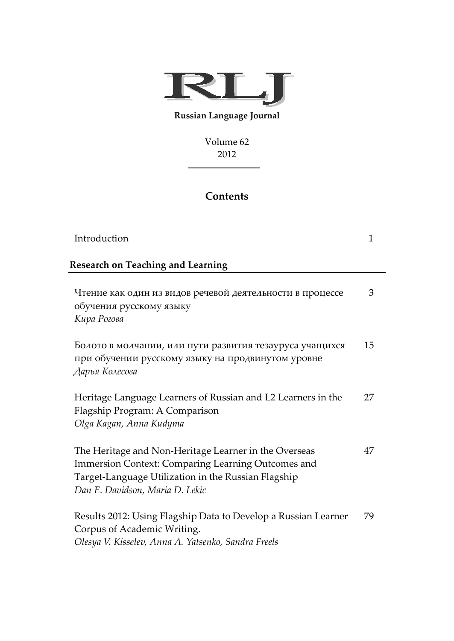

#### **Russian Language Journal**

Volume 62 2012

### **Contents**

| Introduction                                                                                                                                                                                          | 1  |
|-------------------------------------------------------------------------------------------------------------------------------------------------------------------------------------------------------|----|
| <b>Research on Teaching and Learning</b>                                                                                                                                                              |    |
| Чтение как один из видов речевой деятельности в процессе<br>обучения русскому языку<br>Кира Рогова                                                                                                    | 3  |
| Болото в молчании, или пути развития тезауруса учащихся<br>при обучении русскому языку на продвинутом уровне<br>Дарья Колесова                                                                        | 15 |
| Heritage Language Learners of Russian and L2 Learners in the<br>Flagship Program: A Comparison<br>Olga Kagan, Anna Kudyma                                                                             | 27 |
| The Heritage and Non-Heritage Learner in the Overseas<br>Immersion Context: Comparing Learning Outcomes and<br>Target-Language Utilization in the Russian Flagship<br>Dan E. Davidson, Maria D. Lekic | 47 |
| Results 2012: Using Flagship Data to Develop a Russian Learner<br>Corpus of Academic Writing.<br>Olesya V. Kisselev, Anna A. Yatsenko, Sandra Freels                                                  | 79 |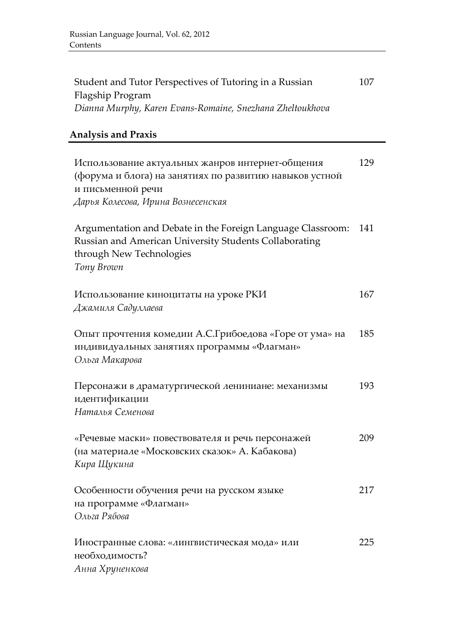| Student and Tutor Perspectives of Tutoring in a Russian<br>Flagship Program<br>Dianna Murphy, Karen Evans-Romaine, Snezhana Zheltoukhova                               | 107 |
|------------------------------------------------------------------------------------------------------------------------------------------------------------------------|-----|
| <b>Analysis and Praxis</b>                                                                                                                                             |     |
| Использование актуальных жанров интернет-общения<br>(форума и блога) на занятиях по развитию навыков устной<br>и письменной речи<br>Дарья Колесова, Ирина Вознесенская | 129 |
| Argumentation and Debate in the Foreign Language Classroom:<br>Russian and American University Students Collaborating<br>through New Technologies<br>Tony Brown        | 141 |
| Использование киноцитаты на уроке РКИ<br>Джамиля Садуллаева                                                                                                            | 167 |
| Опыт прочтения комедии А.С.Грибоедова «Горе от ума» на<br>индивидуальных занятиях программы «Флагман»<br>Ольга Макарова                                                | 185 |
| Персонажи в драматургической лениниане: механизмы<br>идентификации<br>Наталья Семенова                                                                                 | 193 |
| «Речевые маски» повествователя и речь персонажей<br>(на материале «Московских сказок» А. Кабакова)<br>Кира Щукина                                                      | 209 |
| Особенности обучения речи на русском языке<br>на программе «Флагман»<br>Ольга Рябова                                                                                   | 217 |
| Иностранные слова: «лингвистическая мода» или<br>необходимость?<br>Анна Хруненкова                                                                                     | 225 |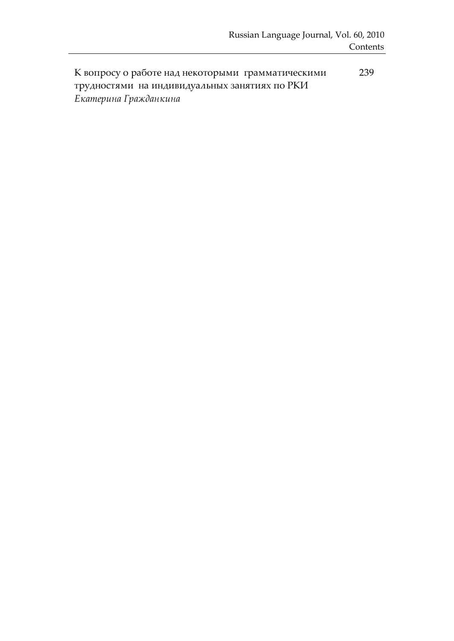К вопросу о работе над некоторыми грамматическими трудностями на индивидуальных занятиях по РКИ *Екатерина Гражданкина* 239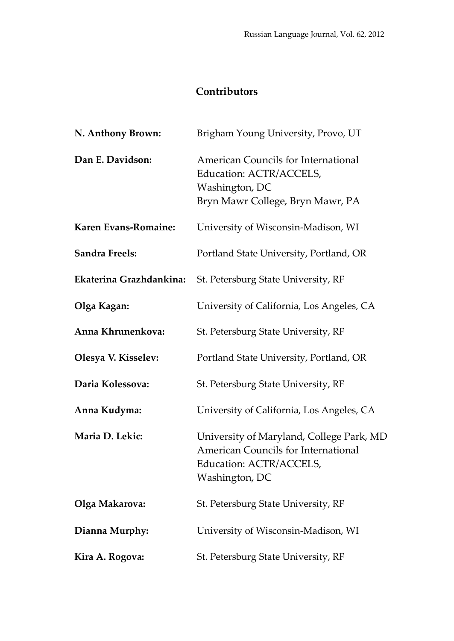## **Contributors**

| N. Anthony Brown:       | Brigham Young University, Provo, UT                                                                                          |
|-------------------------|------------------------------------------------------------------------------------------------------------------------------|
| Dan E. Davidson:        | American Councils for International<br>Education: ACTR/ACCELS,<br>Washington, DC<br>Bryn Mawr College, Bryn Mawr, PA         |
| Karen Evans-Romaine:    | University of Wisconsin-Madison, WI                                                                                          |
| <b>Sandra Freels:</b>   | Portland State University, Portland, OR                                                                                      |
| Ekaterina Grazhdankina: | St. Petersburg State University, RF                                                                                          |
| Olga Kagan:             | University of California, Los Angeles, CA                                                                                    |
| Anna Khrunenkova:       | St. Petersburg State University, RF                                                                                          |
| Olesya V. Kisselev:     | Portland State University, Portland, OR                                                                                      |
| Daria Kolessova:        | St. Petersburg State University, RF                                                                                          |
| Anna Kudyma:            | University of California, Los Angeles, CA                                                                                    |
| Maria D. Lekic:         | University of Maryland, College Park, MD<br>American Councils for International<br>Education: ACTR/ACCELS,<br>Washington, DC |
| Olga Makarova:          | St. Petersburg State University, RF                                                                                          |
| Dianna Murphy:          | University of Wisconsin-Madison, WI                                                                                          |
| Kira A. Rogova:         | St. Petersburg State University, RF                                                                                          |